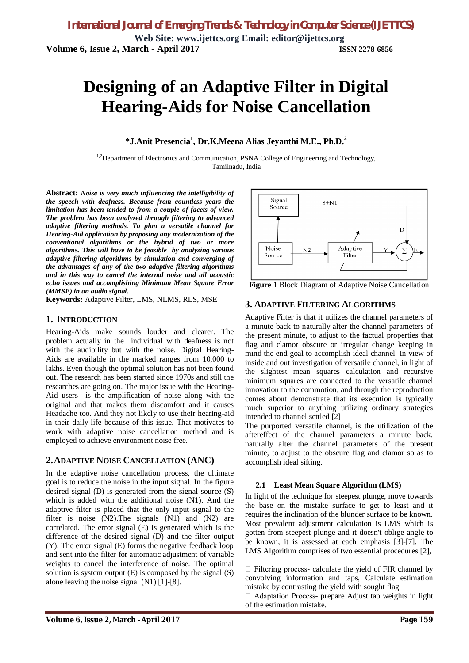# **Designing of an Adaptive Filter in Digital Hearing-Aids for Noise Cancellation**

**\*J.Anit Presencia<sup>1</sup> , Dr.K.Meena Alias Jeyanthi M.E., Ph.D.<sup>2</sup>**

<sup>1,2</sup>Department of Electronics and Communication, PSNA College of Engineering and Technology, Tamilnadu, India

**Abstract:** *Noise is very much influencing the intelligibility of the speech with deafness. Because from countless years the limitation has been tended to from a couple of facets of view. The problem has been analyzed through filtering to advanced adaptive filtering methods. To plan a versatile channel for Hearing-Aid application by proposing any modernization of the conventional algorithms or the hybrid of two or more algorithms. This will have to be feasible by analyzing various adaptive filtering algorithms by simulation and converging of the advantages of any of the two adaptive filtering algorithms and in this way to cancel the internal noise and all acoustic echo issues and accomplishing Minimum Mean Square Error (MMSE) in an audio signal.* 

**Keywords:** Adaptive Filter, LMS, NLMS, RLS, MSE

### **1. INTRODUCTION**

Hearing-Aids make sounds louder and clearer. The problem actually in the individual with deafness is not with the audibility but with the noise. Digital Hearing-Aids are available in the marked ranges from 10,000 to lakhs. Even though the optimal solution has not been found out. The research has been started since 1970s and still the researches are going on. The major issue with the Hearing-Aid users is the amplification of noise along with the original and that makes them discomfort and it causes Headache too. And they not likely to use their hearing-aid in their daily life because of this issue. That motivates to work with adaptive noise cancellation method and is employed to achieve environment noise free.

### **2.ADAPTIVE NOISE CANCELLATION (ANC)**

In the adaptive noise cancellation process, the ultimate goal is to reduce the noise in the input signal. In the figure desired signal (D) is generated from the signal source (S) which is added with the additional noise (N1). And the adaptive filter is placed that the only input signal to the filter is noise (N2).The signals (N1) and (N2) are correlated. The error signal (E) is generated which is the difference of the desired signal (D) and the filter output (Y). The error signal (E) forms the negative feedback loop and sent into the filter for automatic adjustment of variable weights to cancel the interference of noise. The optimal solution is system output  $(E)$  is composed by the signal  $(S)$ alone leaving the noise signal (N1) [1]-[8].



**Figure 1** Block Diagram of Adaptive Noise Cancellation

### **3. ADAPTIVE FILTERING ALGORITHMS**

Adaptive Filter is that it utilizes the channel parameters of a minute back to naturally alter the channel parameters of the present minute, to adjust to the factual properties that flag and clamor obscure or irregular change keeping in mind the end goal to accomplish ideal channel. In view of inside and out investigation of versatile channel, in light of the slightest mean squares calculation and recursive minimum squares are connected to the versatile channel innovation to the commotion, and through the reproduction comes about demonstrate that its execution is typically much superior to anything utilizing ordinary strategies intended to channel settled [2]

The purported versatile channel, is the utilization of the aftereffect of the channel parameters a minute back, naturally alter the channel parameters of the present minute, to adjust to the obscure flag and clamor so as to accomplish ideal sifting.

### **2.1 Least Mean Square Algorithm (LMS)**

In light of the technique for steepest plunge, move towards the base on the mistake surface to get to least and it requires the inclination of the blunder surface to be known. Most prevalent adjustment calculation is LMS which is gotten from steepest plunge and it doesn't oblige angle to be known, it is assessed at each emphasis [3]-[7]. The LMS Algorithm comprises of two essential procedures [2],

 $\Box$  Filtering process- calculate the yield of FIR channel by convolving information and taps, Calculate estimation mistake by contrasting the yield with sought flag.

 $\Box$  Adaptation Process- prepare Adjust tap weights in light of the estimation mistake.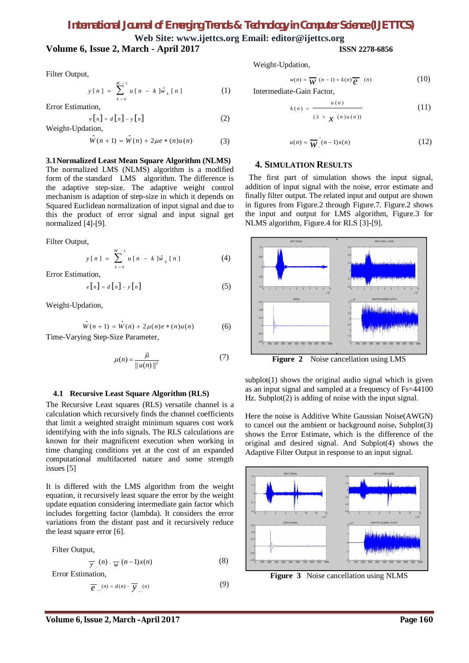# *International Journal of Emerging Trends & Technology in Computer Science (IJETTCS)*

**Web Site: www.ijettcs.org Email: editor@ijettcs.org**

### **Volume 6, Issue 2, March - April 2017 ISSN 2278-6856**

Filter Output,

$$
y[n] = \sum_{k=0}^{M-1} u[n - k] \hat{w}_k[n]
$$
 (1)

Error Estimation,

$$
e[n] = d[n] - y[n]
$$
 (2)

Weight-Updation,

$$
\hat{W}(n+1) = \hat{W}(n) + 2\mu e * (n)u(n)
$$
 (3)

**3.1Normalized Least Mean Square Algorithm (NLMS)**

The normalized LMS (NLMS) algorithm is a modified form of the standard LMS algorithm. The difference is the adaptive step-size. The adaptive weight control mechanism is adaption of step-size in which it depends on Squared Euclidean normalization of input signal and due to this the product of error signal and input signal get normalized [4]-[9].

Filter Output,

$$
y[n] = \sum_{k=0}^{M-1} u[n - k] \hat{w}_k[n]
$$
 (4)

Error Estimation,

$$
e[n] = d[n] - y[n] \tag{5}
$$

Weight-Updation,

$$
\hat{W}(n+1) = \hat{W}(n) + 2\mu(n)e * (n)u(n)
$$
 (6)

Time-Varying Step-Size Parameter,

$$
\mu(n) = \frac{\tilde{\mu}}{\|u(n)\|^2} \tag{7}
$$

### **4.1 Recursive Least Square Algorithm (RLS)**

The Recursive Least squares (RLS) versatile channel is a calculation which recursively finds the channel coefficients that limit a weighted straight minimum squares cost work identifying with the info signals. The RLS calculations are known for their magnificent execution when working in time changing conditions yet at the cost of an expanded computational multifaceted nature and some strength issues [5]

It is differed with the LMS algorithm from the weight equation, it recursively least square the error by the weight update equation considering intermediate gain factor which includes forgetting factor (lambda). It considers the error variations from the distant past and it recursively reduce the least square error [6].

Filter Output,

$$
\overline{y}_n(n) = \overline{w}(n-1)x(n) \tag{8}
$$

Error Estimation,

$$
\overline{e}_{n-1}(n) = d(n) - \overline{y}_{n-1}(n) \tag{9}
$$

Weight-Updation,

$$
w(n) = \overline{W}^{\prime}(n-1) + k(n)\overline{e}_{n}(n) \tag{10}
$$

Intermediate-Gain Factor,

*k n*

$$
(n) = \frac{u(n)}{( \lambda + x^{(n)} u(n))}
$$
 (11)

$$
u(n) = \overline{W}_{\lambda}^{-1}(n-1)x(n) \qquad (12)
$$

### **4. SIMULATION RESULTS**

 The first part of simulation shows the input signal, addition of input signal with the noise, error estimate and finally filter output. The related input and output are shown in figures from Figure.2 through Figure.7. Figure.2 shows the input and output for LMS algorithm, Figure.3 for NLMS algorithm, Figure.4 for RLS [3]-[9].



**Figure 2** Noise cancellation using LMS

 $subplot(1)$  shows the original audio signal which is given as an input signal and sampled at a frequency of Fs=44100 Hz. Subplot(2) is adding of noise with the input signal.

Here the noise is Additive White Gaussian Noise(AWGN) to cancel out the ambient or background noise**.** Subplot(3) shows the Error Estimate, which is the difference of the original and desired signal. And Subplot(4) shows the Adaptive Filter Output in response to an input signal.



**Figure 3** Noise cancellation using NLMS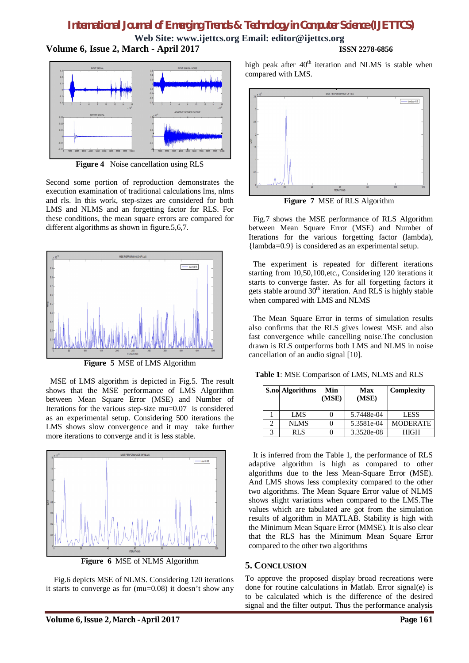# *International Journal of Emerging Trends & Technology in Computer Science (IJETTCS)*

**Web Site: www.ijettcs.org Email: editor@ijettcs.org Volume 6, Issue 2, March - April 2017 ISSN 2278-6856**



**Figure 4** Noise cancellation using RLS

Second some portion of reproduction demonstrates the execution examination of traditional calculations lms, nlms and rls. In this work, step-sizes are considered for both LMS and NLMS and an forgetting factor for RLS. For these conditions, the mean square errors are compared for different algorithms as shown in figure.5,6,7.



**Figure 5** MSE of LMS Algorithm

MSE of LMS algorithm is depicted in Fig.5. The result shows that the MSE performance of LMS Algorithm between Mean Square Error (MSE) and Number of Iterations for the various step-size mu=0.07 is considered as an experimental setup. Considering 500 iterations the LMS shows slow convergence and it may take further more iterations to converge and it is less stable.



Fig.6 depicts MSE of NLMS. Considering 120 iterations it starts to converge as for (mu=0.08) it doesn't show any

high peak after  $40<sup>th</sup>$  iteration and NLMS is stable when compared with LMS.



**Figure 7** MSE of RLS Algorithm

Fig.7 shows the MSE performance of RLS Algorithm between Mean Square Error (MSE) and Number of Iterations for the various forgetting factor (lambda), {lambda=0.9} is considered as an experimental setup.

The experiment is repeated for different iterations starting from 10,50,100,etc., Considering 120 iterations it starts to converge faster. As for all forgetting factors it gets stable around  $30<sup>th</sup>$  iteration. And RLS is highly stable when compared with LMS and NLMS

The Mean Square Error in terms of simulation results also confirms that the RLS gives lowest MSE and also fast convergence while cancelling noise.The conclusion drawn is RLS outperforms both LMS and NLMS in noise cancellation of an audio signal [10].

**Table 1**: MSE Comparison of LMS, NLMS and RLS

|   | <b>S.no Algorithms</b> | Min<br>(MSE) | Max<br>(MSE) | Complexity      |
|---|------------------------|--------------|--------------|-----------------|
|   | LMS                    |              | 5.7448e-04   | <b>LESS</b>     |
|   | <b>NLMS</b>            |              | 5.3581e-04   | <b>MODERATE</b> |
| 3 | RLS                    |              | 3.3528e-08   | <b>HIGH</b>     |

It is inferred from the Table 1, the performance of RLS adaptive algorithm is high as compared to other algorithms due to the less Mean-Square Error (MSE). And LMS shows less complexity compared to the other two algorithms. The Mean Square Error value of NLMS shows slight variations when compared to the LMS.The values which are tabulated are got from the simulation results of algorithm in MATLAB. Stability is high with the Minimum Mean Square Error (MMSE). It is also clear that the RLS has the Minimum Mean Square Error compared to the other two algorithms

### **5. CONCLUSION**

To approve the proposed display broad recreations were done for routine calculations in Matlab. Error signal(e) is to be calculated which is the difference of the desired signal and the filter output. Thus the performance analysis